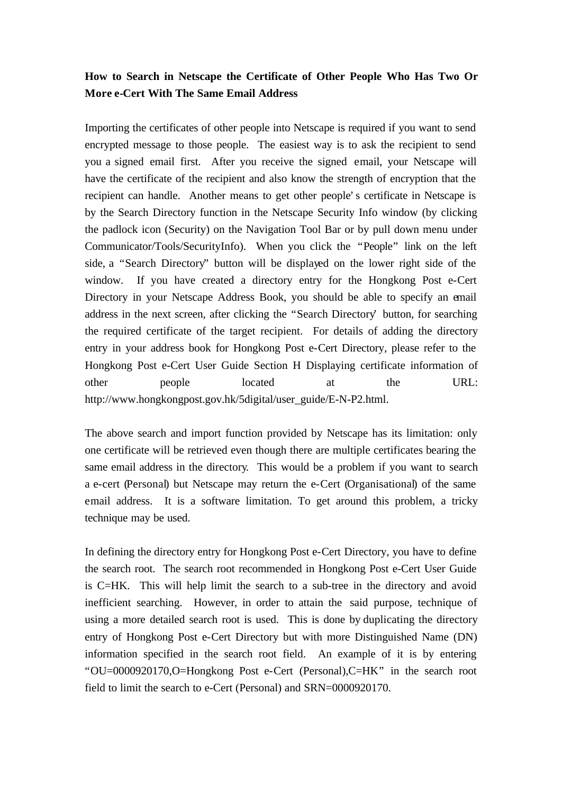## **How to Search in Netscape the Certificate of Other People Who Has Two Or More e-Cert With The Same Email Address**

Importing the certificates of other people into Netscape is required if you want to send encrypted message to those people. The easiest way is to ask the recipient to send you a signed email first. After you receive the signed email, your Netscape will have the certificate of the recipient and also know the strength of encryption that the recipient can handle. Another means to get other people's certificate in Netscape is by the Search Directory function in the Netscape Security Info window (by clicking the padlock icon (Security) on the Navigation Tool Bar or by pull down menu under Communicator/Tools/SecurityInfo). When you click the "People" link on the left side, a "Search Directory" button will be displayed on the lower right side of the window. If you have created a directory entry for the Hongkong Post e-Cert Directory in your Netscape Address Book, you should be able to specify an email address in the next screen, after clicking the "Search Directory' button, for searching the required certificate of the target recipient. For details of adding the directory entry in your address book for Hongkong Post e-Cert Directory, please refer to the Hongkong Post e-Cert User Guide Section H Displaying certificate information of other people located at the URL: http://www.hongkongpost.gov.hk/5digital/user\_guide/E-N-P2.html.

The above search and import function provided by Netscape has its limitation: only one certificate will be retrieved even though there are multiple certificates bearing the same email address in the directory. This would be a problem if you want to search a e-cert (Personal) but Netscape may return the e-Cert (Organisational) of the same email address. It is a software limitation. To get around this problem, a tricky technique may be used.

In defining the directory entry for Hongkong Post e-Cert Directory, you have to define the search root. The search root recommended in Hongkong Post e-Cert User Guide is C=HK. This will help limit the search to a sub-tree in the directory and avoid inefficient searching. However, in order to attain the said purpose, technique of using a more detailed search root is used. This is done by duplicating the directory entry of Hongkong Post e-Cert Directory but with more Distinguished Name (DN) information specified in the search root field. An example of it is by entering "OU=0000920170,O=Hongkong Post e-Cert (Personal),C=HK" in the search root field to limit the search to e-Cert (Personal) and SRN=0000920170.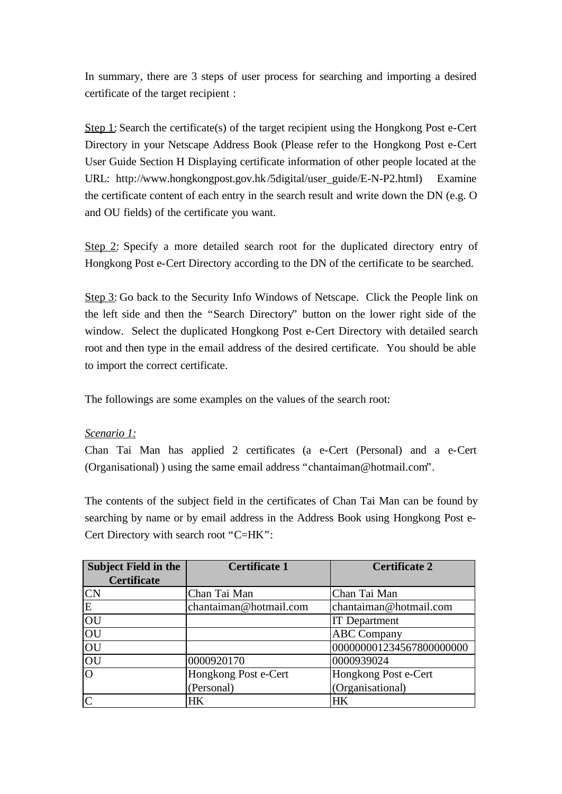In summary, there are 3 steps of user process for searching and importing a desired certificate of the target recipient :

Step 1: Search the certificate(s) of the target recipient using the Hongkong Post e-Cert Directory in your Netscape Address Book (Please refer to the Hongkong Post e-Cert User Guide Section H Displaying certificate information of other people located at the URL: http://www.hongkongpost.gov.hk/5digital/user\_guide/E-N-P2.html) Examine the certificate content of each entry in the search result and write down the DN (e.g. O and OU fields) of the certificate you want.

Step 2: Specify a more detailed search root for the duplicated directory entry of Hongkong Post e-Cert Directory according to the DN of the certificate to be searched.

Step 3: Go back to the Security Info Windows of Netscape. Click the People link on the left side and then the "Search Directory" button on the lower right side of the window. Select the duplicated Hongkong Post e-Cert Directory with detailed search root and then type in the email address of the desired certificate. You should be able to import the correct certificate.

The followings are some examples on the values of the search root:

### *Scenario 1:*

Chan Tai Man has applied 2 certificates (a e-Cert (Personal) and a e-Cert (Organisational) ) using the same email address "chantaiman@hotmail.com".

The contents of the subject field in the certificates of Chan Tai Man can be found by searching by name or by email address in the Address Book using Hongkong Post e-Cert Directory with search root "C=HK":

| <b>Subject Field in the</b> | <b>Certificate 1</b>   | <b>Certificate 2</b>     |
|-----------------------------|------------------------|--------------------------|
| <b>Certificate</b>          |                        |                          |
| <b>CN</b>                   | Chan Tai Man           | Chan Tai Man             |
| E                           | chantaiman@hotmail.com | chantaiman@hotmail.com   |
| OU                          |                        | <b>IT</b> Department     |
| OU                          |                        | <b>ABC Company</b>       |
| OU                          |                        | 000000001234567800000000 |
| OU                          | 0000920170             | 0000939024               |
| $\overline{O}$              | Hongkong Post e-Cert   | Hongkong Post e-Cert     |
|                             | (Personal)             | (Organisational)         |
| $\overline{C}$              | HK                     | <b>HK</b>                |